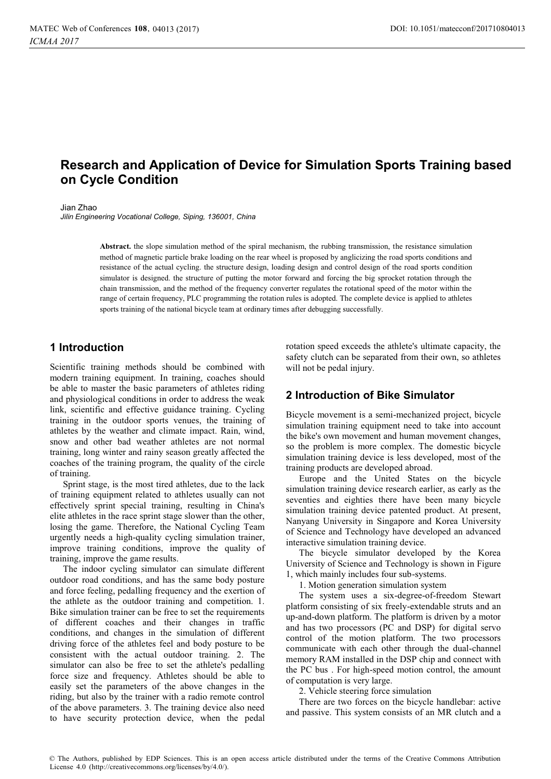# **Research and Application of Device for Simulation Sports Training based on Cycle Condition**

#### Jian Zhao

*Jilin Engineering Vocational College, Siping, 136001, China*

**Abstract.** the slope simulation method of the spiral mechanism, the rubbing transmission, the resistance simulation method of magnetic particle brake loading on the rear wheel is proposed by anglicizing the road sports conditions and resistance of the actual cycling. the structure design, loading design and control design of the road sports condition simulator is designed. the structure of putting the motor forward and forcing the big sprocket rotation through the chain transmission, and the method of the frequency converter regulates the rotational speed of the motor within the range of certain frequency, PLC programming the rotation rules is adopted. The complete device is applied to athletes sports training of the national bicycle team at ordinary times after debugging successfully.

#### **1 Introduction**

Scientific training methods should be combined with modern training equipment. In training, coaches should be able to master the basic parameters of athletes riding and physiological conditions in order to address the weak link, scientific and effective guidance training. Cycling training in the outdoor sports venues, the training of athletes by the weather and climate impact. Rain, wind, snow and other bad weather athletes are not normal training, long winter and rainy season greatly affected the coaches of the training program, the quality of the circle of training.

Sprint stage, is the most tired athletes, due to the lack of training equipment related to athletes usually can not effectively sprint special training, resulting in China's elite athletes in the race sprint stage slower than the other, losing the game. Therefore, the National Cycling Team urgently needs a high-quality cycling simulation trainer, improve training conditions, improve the quality of training, improve the game results.

The indoor cycling simulator can simulate different outdoor road conditions, and has the same body posture and force feeling, pedalling frequency and the exertion of the athlete as the outdoor training and competition. 1. Bike simulation trainer can be free to set the requirements of different coaches and their changes in traffic conditions, and changes in the simulation of different driving force of the athletes feel and body posture to be consistent with the actual outdoor training. 2. The simulator can also be free to set the athlete's pedalling force size and frequency. Athletes should be able to easily set the parameters of the above changes in the riding, but also by the trainer with a radio remote control of the above parameters. 3. The training device also need to have security protection device, when the pedal

rotation speed exceeds the athlete's ultimate capacity, the safety clutch can be separated from their own, so athletes will not be pedal injury.

#### **2 Introduction of Bike Simulator**

Bicycle movement is a semi-mechanized project, bicycle simulation training equipment need to take into account the bike's own movement and human movement changes, so the problem is more complex. The domestic bicycle simulation training device is less developed, most of the training products are developed abroad.

Europe and the United States on the bicycle simulation training device research earlier, as early as the seventies and eighties there have been many bicycle simulation training device patented product. At present, Nanyang University in Singapore and Korea University of Science and Technology have developed an advanced interactive simulation training device.

The bicycle simulator developed by the Korea University of Science and Technology is shown in Figure 1, which mainly includes four sub-systems.

1. Motion generation simulation system

The system uses a six-degree-of-freedom Stewart platform consisting of six freely-extendable struts and an up-and-down platform. The platform is driven by a motor and has two processors (PC and DSP) for digital servo control of the motion platform. The two processors communicate with each other through the dual-channel memory RAM installed in the DSP chip and connect with the PC bus . For high-speed motion control, the amount of computation is very large.

2. Vehicle steering force simulation

There are two forces on the bicycle handlebar: active and passive. This system consists of an MR clutch and a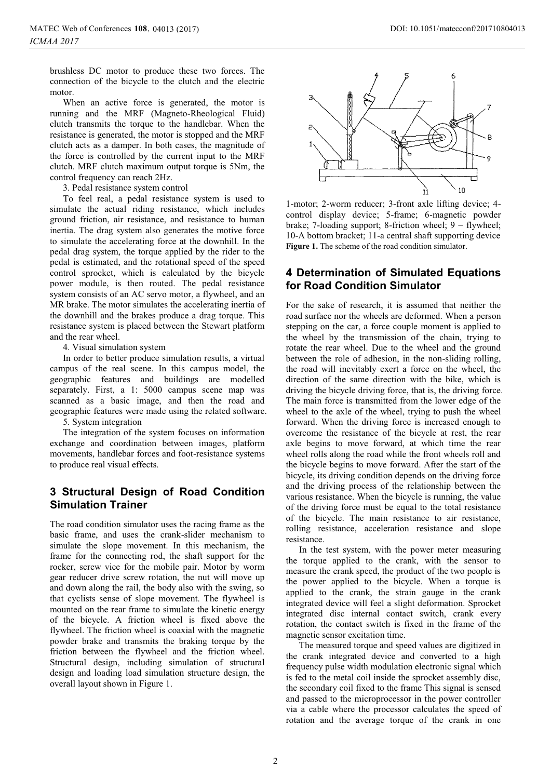**DOI**: 10.1051/matecconf/201710804013

brushless DC motor to produce these two forces. The connection of the bicycle to the clutch and the electric motor.

When an active force is generated, the motor is running and the MRF (Magneto-Rheological Fluid) clutch transmits the torque to the handlebar. When the resistance is generated, the motor is stopped and the MRF clutch acts as a damper. In both cases, the magnitude of the force is controlled by the current input to the MRF clutch. MRF clutch maximum output torque is 5Nm, the control frequency can reach 2Hz.

3. Pedal resistance system control

To feel real, a pedal resistance system is used to simulate the actual riding resistance, which includes ground friction, air resistance, and resistance to human inertia. The drag system also generates the motive force to simulate the accelerating force at the downhill. In the pedal drag system, the torque applied by the rider to the pedal is estimated, and the rotational speed of the speed control sprocket, which is calculated by the bicycle power module, is then routed. The pedal resistance system consists of an AC servo motor, a flywheel, and an MR brake. The motor simulates the accelerating inertia of the downhill and the brakes produce a drag torque. This resistance system is placed between the Stewart platform and the rear wheel.

4. Visual simulation system

In order to better produce simulation results, a virtual campus of the real scene. In this campus model, the geographic features and buildings are modelled separately. First, a 1: 5000 campus scene map was scanned as a basic image, and then the road and geographic features were made using the related software.

5. System integration

The integration of the system focuses on information exchange and coordination between images, platform movements, handlebar forces and foot-resistance systems to produce real visual effects.

#### **3 Structural Design of Road Condition Simulation Trainer**

The road condition simulator uses the racing frame as the basic frame, and uses the crank-slider mechanism to simulate the slope movement. In this mechanism, the frame for the connecting rod, the shaft support for the rocker, screw vice for the mobile pair. Motor by worm gear reducer drive screw rotation, the nut will move up and down along the rail, the body also with the swing, so that cyclists sense of slope movement. The flywheel is mounted on the rear frame to simulate the kinetic energy of the bicycle. A friction wheel is fixed above the flywheel. The friction wheel is coaxial with the magnetic powder brake and transmits the braking torque by the friction between the flywheel and the friction wheel. Structural design, including simulation of structural design and loading load simulation structure design, the overall layout shown in Figure 1.



1-motor; 2-worm reducer; 3-front axle lifting device; 4 control display device; 5-frame; 6-magnetic powder brake; 7-loading support; 8-friction wheel; 9 – flywheel; 10-A bottom bracket; 11-a central shaft supporting device Figure 1. The scheme of the road condition simulator.

#### **4 Determination of Simulated Equations for Road Condition Simulator**

For the sake of research, it is assumed that neither the road surface nor the wheels are deformed. When a person stepping on the car, a force couple moment is applied to the wheel by the transmission of the chain, trying to rotate the rear wheel. Due to the wheel and the ground between the role of adhesion, in the non-sliding rolling, the road will inevitably exert a force on the wheel, the direction of the same direction with the bike, which is driving the bicycle driving force, that is, the driving force. The main force is transmitted from the lower edge of the wheel to the axle of the wheel, trying to push the wheel forward. When the driving force is increased enough to overcome the resistance of the bicycle at rest, the rear axle begins to move forward, at which time the rear wheel rolls along the road while the front wheels roll and the bicycle begins to move forward. After the start of the bicycle, its driving condition depends on the driving force and the driving process of the relationship between the various resistance. When the bicycle is running, the value of the driving force must be equal to the total resistance of the bicycle. The main resistance to air resistance, rolling resistance, acceleration resistance and slope resistance.

In the test system, with the power meter measuring the torque applied to the crank, with the sensor to measure the crank speed, the product of the two people is the power applied to the bicycle. When a torque is applied to the crank, the strain gauge in the crank integrated device will feel a slight deformation. Sprocket integrated disc internal contact switch, crank every rotation, the contact switch is fixed in the frame of the magnetic sensor excitation time.

The measured torque and speed values are digitized in the crank integrated device and converted to a high frequency pulse width modulation electronic signal which is fed to the metal coil inside the sprocket assembly disc, the secondary coil fixed to the frame This signal is sensed and passed to the microprocessor in the power controller via a cable where the processor calculates the speed of rotation and the average torque of the crank in one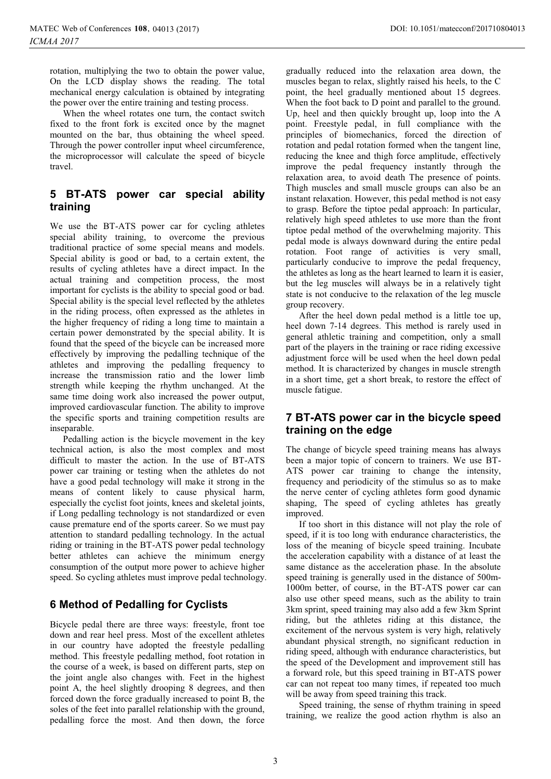rotation, multiplying the two to obtain the power value, On the LCD display shows the reading. The total mechanical energy calculation is obtained by integrating the power over the entire training and testing process.

When the wheel rotates one turn, the contact switch fixed to the front fork is excited once by the magnet mounted on the bar, thus obtaining the wheel speed. Through the power controller input wheel circumference, the microprocessor will calculate the speed of bicycle travel.

#### **5 BT-ATS power car special ability training**

We use the BT-ATS power car for cycling athletes special ability training, to overcome the previous traditional practice of some special means and models. Special ability is good or bad, to a certain extent, the results of cycling athletes have a direct impact. In the actual training and competition process, the most important for cyclists is the ability to special good or bad. Special ability is the special level reflected by the athletes in the riding process, often expressed as the athletes in the higher frequency of riding a long time to maintain a certain power demonstrated by the special ability. It is found that the speed of the bicycle can be increased more effectively by improving the pedalling technique of the athletes and improving the pedalling frequency to increase the transmission ratio and the lower limb strength while keeping the rhythm unchanged. At the same time doing work also increased the power output, improved cardiovascular function. The ability to improve the specific sports and training competition results are inseparable.

Pedalling action is the bicycle movement in the key technical action, is also the most complex and most difficult to master the action. In the use of BT-ATS power car training or testing when the athletes do not have a good pedal technology will make it strong in the means of content likely to cause physical harm, especially the cyclist foot joints, knees and skeletal joints, if Long pedalling technology is not standardized or even cause premature end of the sports career. So we must pay attention to standard pedalling technology. In the actual riding or training in the BT-ATS power pedal technology better athletes can achieve the minimum energy consumption of the output more power to achieve higher speed. So cycling athletes must improve pedal technology.

## **6 Method of Pedalling for Cyclists**

Bicycle pedal there are three ways: freestyle, front toe down and rear heel press. Most of the excellent athletes in our country have adopted the freestyle pedalling method. This freestyle pedalling method, foot rotation in the course of a week, is based on different parts, step on the joint angle also changes with. Feet in the highest point A, the heel slightly drooping 8 degrees, and then forced down the force gradually increased to point B, the soles of the feet into parallel relationship with the ground, pedalling force the most. And then down, the force

gradually reduced into the relaxation area down, the muscles began to relax, slightly raised his heels, to the C point, the heel gradually mentioned about 15 degrees. When the foot back to D point and parallel to the ground. Up, heel and then quickly brought up, loop into the A point. Freestyle pedal, in full compliance with the principles of biomechanics, forced the direction of rotation and pedal rotation formed when the tangent line, reducing the knee and thigh force amplitude, effectively improve the pedal frequency instantly through the relaxation area, to avoid death The presence of points. Thigh muscles and small muscle groups can also be an instant relaxation. However, this pedal method is not easy to grasp. Before the tiptoe pedal approach: In particular, relatively high speed athletes to use more than the front tiptoe pedal method of the overwhelming majority. This pedal mode is always downward during the entire pedal rotation. Foot range of activities is very small, particularly conducive to improve the pedal frequency, the athletes as long as the heart learned to learn it is easier, but the leg muscles will always be in a relatively tight state is not conducive to the relaxation of the leg muscle group recovery.

After the heel down pedal method is a little toe up, heel down 7-14 degrees. This method is rarely used in general athletic training and competition, only a small part of the players in the training or race riding excessive adjustment force will be used when the heel down pedal method. It is characterized by changes in muscle strength in a short time, get a short break, to restore the effect of muscle fatigue.

### **7 BT-ATS power car in the bicycle speed training on the edge**

The change of bicycle speed training means has always been a major topic of concern to trainers. We use BT-ATS power car training to change the intensity, frequency and periodicity of the stimulus so as to make the nerve center of cycling athletes form good dynamic shaping, The speed of cycling athletes has greatly improved.

If too short in this distance will not play the role of speed, if it is too long with endurance characteristics, the loss of the meaning of bicycle speed training. Incubate the acceleration capability with a distance of at least the same distance as the acceleration phase. In the absolute speed training is generally used in the distance of 500m-1000m better, of course, in the BT-ATS power car can also use other speed means, such as the ability to train 3km sprint, speed training may also add a few 3km Sprint riding, but the athletes riding at this distance, the excitement of the nervous system is very high, relatively abundant physical strength, no significant reduction in riding speed, although with endurance characteristics, but the speed of the Development and improvement still has a forward role, but this speed training in BT-ATS power car can not repeat too many times, if repeated too much will be away from speed training this track.

Speed training, the sense of rhythm training in speed training, we realize the good action rhythm is also an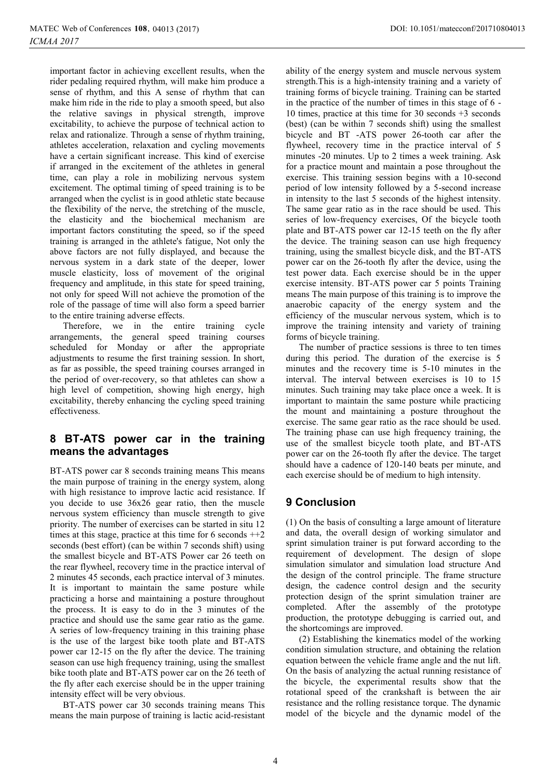important factor in achieving excellent results, when the rider pedaling required rhythm, will make him produce a sense of rhythm, and this A sense of rhythm that can make him ride in the ride to play a smooth speed, but also the relative savings in physical strength, improve excitability, to achieve the purpose of technical action to relax and rationalize. Through a sense of rhythm training, athletes acceleration, relaxation and cycling movements have a certain significant increase. This kind of exercise if arranged in the excitement of the athletes in general time, can play a role in mobilizing nervous system excitement. The optimal timing of speed training is to be arranged when the cyclist is in good athletic state because the flexibility of the nerve, the stretching of the muscle, the elasticity and the biochemical mechanism are important factors constituting the speed, so if the speed training is arranged in the athlete's fatigue, Not only the above factors are not fully displayed, and because the nervous system in a dark state of the deeper, lower muscle elasticity, loss of movement of the original frequency and amplitude, in this state for speed training, not only for speed Will not achieve the promotion of the role of the passage of time will also form a speed barrier to the entire training adverse effects.

Therefore, we in the entire training cycle arrangements, the general speed training courses scheduled for Monday or after the appropriate adjustments to resume the first training session. In short, as far as possible, the speed training courses arranged in the period of over-recovery, so that athletes can show a high level of competition, showing high energy, high excitability, thereby enhancing the cycling speed training effectiveness.

#### **8 BT-ATS power car in the training means the advantages**

BT-ATS power car 8 seconds training means This means the main purpose of training in the energy system, along with high resistance to improve lactic acid resistance. If you decide to use 36x26 gear ratio, then the muscle nervous system efficiency than muscle strength to give priority. The number of exercises can be started in situ 12 times at this stage, practice at this time for 6 seconds  $+2$ seconds (best effort) (can be within 7 seconds shift) using the smallest bicycle and BT-ATS Power car 26 teeth on the rear flywheel, recovery time in the practice interval of 2 minutes 45 seconds, each practice interval of 3 minutes. It is important to maintain the same posture while practicing a horse and maintaining a posture throughout the process. It is easy to do in the 3 minutes of the practice and should use the same gear ratio as the game. A series of low-frequency training in this training phase is the use of the largest bike tooth plate and BT-ATS power car 12-15 on the fly after the device. The training season can use high frequency training, using the smallest bike tooth plate and BT-ATS power car on the 26 teeth of the fly after each exercise should be in the upper training intensity effect will be very obvious.

BT-ATS power car 30 seconds training means This means the main purpose of training is lactic acid-resistant

ability of the energy system and muscle nervous system strength.This is a high-intensity training and a variety of training forms of bicycle training. Training can be started in the practice of the number of times in this stage of 6 - 10 times, practice at this time for 30 seconds +3 seconds (best) (can be within 7 seconds shift) using the smallest bicycle and BT -ATS power 26-tooth car after the flywheel, recovery time in the practice interval of 5 minutes -20 minutes. Up to 2 times a week training. Ask for a practice mount and maintain a pose throughout the exercise. This training session begins with a 10-second period of low intensity followed by a 5-second increase in intensity to the last 5 seconds of the highest intensity. The same gear ratio as in the race should be used. This series of low-frequency exercises, Of the bicycle tooth plate and BT-ATS power car 12-15 teeth on the fly after the device. The training season can use high frequency training, using the smallest bicycle disk, and the BT-ATS power car on the 26-tooth fly after the device, using the test power data. Each exercise should be in the upper exercise intensity. BT-ATS power car 5 points Training means The main purpose of this training is to improve the anaerobic capacity of the energy system and the efficiency of the muscular nervous system, which is to improve the training intensity and variety of training forms of bicycle training.

The number of practice sessions is three to ten times during this period. The duration of the exercise is 5 minutes and the recovery time is 5-10 minutes in the interval. The interval between exercises is 10 to 15 minutes. Such training may take place once a week. It is important to maintain the same posture while practicing the mount and maintaining a posture throughout the exercise. The same gear ratio as the race should be used. The training phase can use high frequency training, the use of the smallest bicycle tooth plate, and BT-ATS power car on the 26-tooth fly after the device. The target should have a cadence of 120-140 beats per minute, and each exercise should be of medium to high intensity.

#### **9 Conclusion**

(1) On the basis of consulting a large amount of literature and data, the overall design of working simulator and sprint simulation trainer is put forward according to the requirement of development. The design of slope simulation simulator and simulation load structure And the design of the control principle. The frame structure design, the cadence control design and the security protection design of the sprint simulation trainer are completed. After the assembly of the prototype production, the prototype debugging is carried out, and the shortcomings are improved.

(2) Establishing the kinematics model of the working condition simulation structure, and obtaining the relation equation between the vehicle frame angle and the nut lift. On the basis of analyzing the actual running resistance of the bicycle, the experimental results show that the rotational speed of the crankshaft is between the air resistance and the rolling resistance torque. The dynamic model of the bicycle and the dynamic model of the